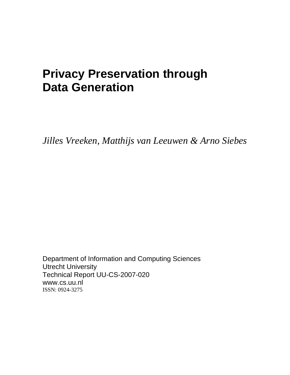# **Privacy Preservation through Data Generation**

*Jilles Vreeken, Matthijs van Leeuwen & Arno Siebes* 

Department of Information and Computing Sciences Utrecht University Technical Report UU-CS-2007-020 www.cs.uu.nl ISSN: 0924-3275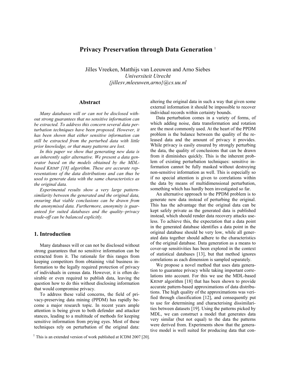# **Privacy Preservation through Data Generation** <sup>1</sup>

Jilles Vreeken, Matthijs van Leeuwen and Arno Siebes *Universiteit Utrecht {jillesv,mleeuwen,arno}@cs.uu.nl* 

## **Abstract**

*Many databases will or can not be disclosed without strong guarantees that no sensitive information can be extracted. To address this concern several data perturbation techniques have been proposed. However, it has been shown that either sensitive information can still be extracted from the perturbed data with little prior knowledge, or that many patterns are lost.* 

*In this paper we show that generating new data is an inherently safer alternative. We present a data generator based on the models obtained by the MDLbased KRIMP [18] algorithm. These are accurate representations of the data distributions and can thus be used to generate data with the same characteristics as the original data.* 

*Experimental results show a very large patternsimilarity between the generated and the original data, ensuring that viable conclusions can be drawn from the anonymised data. Furthermore, anonymity is guaranteed for suited databases and the quality–privacy trade-off can be balanced explicitly.* 

# **1. Introduction**

Many databases will or can not be disclosed without strong guarantees that no sensitive information can be extracted from it. The rationale for this ranges from keeping competitors from obtaining vital business information to the legally required protection of privacy of individuals in census data. However, it is often desirable or even required to publish data, leaving the question how to do this without disclosing information that would compromise privacy.

To address these valid concerns, the field of privacy-preserving data mining (PPDM) has rapidly become a major research topic. In recent years ample attention is being given to both defender and attacker stances, leading to a multitude of methods for keeping sensitive information from prying eyes. Most of these techniques rely on perturbation of the original data:

altering the original data in such a way that given some external information it should be impossible to recover individual records within certainty bounds.

Data perturbation comes in a variety of forms, of which adding noise, data transformation and rotation are the most commonly used. At the heart of the PPDM problem is the balance between the quality of the released data and the amount of privacy it provides. While privacy is easily ensured by strongly perturbing the data, the quality of conclusions that can be drawn from it diminishes quickly. This is the inherent problem of existing perturbation techniques: sensitive information cannot be fully masked without destroying non-sensitive information as well. This is especially so if no special attention is given to correlations within the data by means of multidimensional perturbation, something which has hardly been investigated so far.

An alternative approach to the PPDM problem is to generate new data instead of perturbing the original. This has the advantage that the original data can be kept safely private as the generated data is published instead, which should render data recovery attacks useless. To achieve this, the expectation that a data point in the generated database identifies a data point in the original database should be very low, while all generated data together should adhere to the characteristics of the original database. Data generation as a means to cover-up sensitivities has been explored in the context of statistical databases [13], but that method ignores correlations as each dimension is sampled separately.

We propose a novel method that uses data generation to guarantee privacy while taking important correlations into account. For this we use the MDL-based KRIMP algorithm [18] that has been shown to provide accurate pattern-based approximations of data distributions. The high quality of the approximations was verified through classification [12], and consequently put to use for determining and characterising dissimilarities between datasets [19]. Using the patterns picked by MDL, we can construct a model that generates data very similar (but not equal) to the data the patterns were derived from. Experiments show that the generative model is well suited for producing data that con-

 $1$  This is an extended version of work published at ICDM 2007 [20].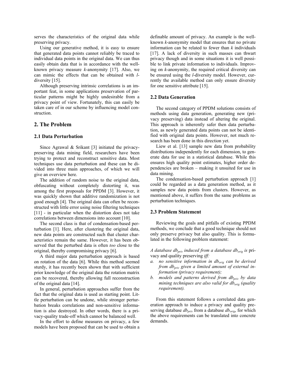serves the characteristics of the original data while preserving privacy.

Using our generative method, it is easy to ensure that generated data points cannot reliably be traced to individual data points in the original data. We can thus easily obtain data that is in accordance with the wellknown privacy measure *k*-anonymity [17]. Also, we can mimic the effects that can be obtained with *l*diversity [15].

Although preserving intrinsic correlations is an important feat, in some applications preservation of particular patterns might be highly undesirable from a privacy point of view. Fortunately, this can easily be taken care of in our scheme by influencing model construction.

## **2. The Problem**

## **2.1 Data Perturbation**

Since Agrawal & Srikant [3] initiated the privacypreserving data mining field, researchers have been trying to protect and reconstruct sensitive data. Most techniques use data perturbation and these can be divided into three main approaches, of which we will give an overview here.

The addition of random noise to the original data, obfuscating without completely distorting it, was among the first proposals for PPDM [3]. However, it was quickly shown that additive randomization is not good enough [4]. The original data can often be reconstructed with little error using noise filtering techniques [11] - in particular when the distortion does not take correlations between dimensions into account [10].

The second class is that of condensation-based perturbation [1]. Here, after clustering the original data, new data points are constructed such that cluster characteristics remain the same. However, it has been observed that the perturbed data is often *too* close to the original, thereby compromising privacy [6].

A third major data perturbation approach is based on rotation of the data [6]. While this method seemed sturdy, it has recently been shown that with sufficient prior knowledge of the original data the rotation matrix can be recovered, thereby allowing full reconstruction of the original data [14].

In general, perturbation approaches suffer from the fact that the original data is used as starting point. Little perturbation can be undone, while stronger perturbation breaks correlations and non-sensitive information is also destroyed. In other words, there is a privacy-quality trade-off which cannot be balanced well.

In the effort to define measures on privacy, a few models have been proposed that can be used to obtain a definable amount of privacy. An example is the wellknown *k*-anonymity model that ensures that no private information can be related to fewer than *k* individuals [17]. A lack of diversity in such masses can thwart privacy though and in some situations it is well possible to link private information to individuals. Improving on *k*-anonymity, the required critical diversity can be ensured using the *l*-diversity model. However, currently the available method can only ensure diversity for one sensitive attribute [15].

#### **2.2 Data Generation**

The second category of PPDM solutions consists of methods using data generation, generating new (privacy preserving) data instead of altering the original. This approach is inherently safer then data perturbation, as newly generated data points can not be identified with original data points. However, not much research has been done in this direction yet.

Liew et al. [13] sample new data from probability distributions independently for each dimension, to generate data for use in a statistical database. While this ensures high quality point estimates, higher order dependencies are broken – making it unsuited for use in data mining.

The condensation-based perturbation approach [1] could be regarded as a data generation method, as it samples new data points from clusters. However, as mentioned above, it suffers from the same problems as perturbation techniques.

#### **2.3 Problem Statement**

Reviewing the goals and pitfalls of existing PPDM methods, we conclude that a good technique should not only preserve privacy but also quality. This is formulated in the following problem statement:

*A database dbpriv induced from a database dborig is* privacy and quality preserving *iff:* 

- *a.* no sensitive information in db<sub>orig</sub> can be derived from db<sub>priv</sub> given a limited amount of external in*formation (privacy requirement);*
- *b. models and patterns derived from dbpriv by data mining techniques are also valid for db<sub>orig</sub> (quality requirement).*

From this statement follows a correlated data generation approach to induce a privacy and quality preserving database  $db_{priv}$  from a database  $db_{orig}$ , for which the above requirements can be translated into concrete demands.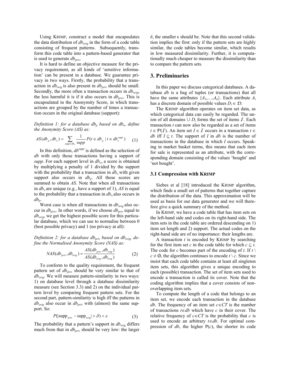Using KRIMP, construct a model that encapsulates the data distribution of  $db_{orig}$  in the form of a code table consisting of frequent patterns. Subsequently, transform this code table into a pattern-based generator that is used to generate  $db_{priv}$ .

It is hard to define an objective measure for the privacy requirement, as all kinds of 'sensitive information' can be present in a database. We guarantee privacy in two ways. Firstly, the probability that a transaction in  $db_{orig}$  is also present in  $db_{priv}$  should be small. Secondly, the more often a transaction occurs in  $db_{orig}$ , the less harmful it is if it also occurs in  $db_{priv}$ . This is encapsulated in the Anonymity Score, in which transactions are grouped by the number of times a transaction occurs in the original database (support):

*Definition 1: for a database db<sub>p</sub> based on db<sub>o</sub>, define the Anonymity Score (AS) as:* 

$$
AS(db_p, db_o) = \sum_{\text{supp} \in db_o} \frac{1}{\text{supp}} P(t \in db_p \mid t \in db_o^{\text{supp}})
$$
 (1)

In this definition, *dbsupp* is defined as the selection of *db* with only those transactions having a support of *supp*. For each support level in  $db_o$ , a score is obtained by multiplying a penalty of 1 divided by the support with the probability that a transaction in  $db<sub>o</sub>$  with given support also occurs in  $db_p$ . All these scores are summed to obtain *AS*. Note that when all transactions in  $db<sub>o</sub>$  are unique (e.g., have a support of 1), *AS* is equal to the probability that a transaction in  $db<sub>o</sub>$  also occurs in  $db_p$ .

Worst case is when all transactions in  $db_{orig}$  also occur in  $db_{priv}$ . In other words, if we choose  $db_{priv}$  equal to *dborig*, we get the highest possible score for this particular database, which we can use to normalise between 0 (best possible privacy) and 1 (no privacy at all):

*Definition 2: for a database db<sub>priv</sub> based on db<sub>orig</sub>, define the Normalised Anonymity Score (NAS) as: AS db db*

$$
NAS(db_{priv}, db_{orig}) = \frac{AS(db_{priv}, db_{orig})}{AS(db_{orig}, db_{orig})}
$$
 (2)

To conform to the quality requirement, the frequent pattern set of  $db_{priv}$  should be very similar to that of *dborig*. We will measure pattern-similarity in two ways: 1) on database level through a database dissimilarity measure (see Section 3.3) and 2) on the individual pattern level by comparing frequent pattern sets. For the second part, pattern-similarity is high iff the patterns in  $db_{orig}$  also occur in  $db_{priv}$  with (almost) the same support. So:

$$
P(|\text{supp}_{priv} - \text{supp}_{orig}| > \delta) < \varepsilon
$$
 (3)

The probability that a pattern's support in  $db_{orig}$  differs much from that in  $db_{priv}$  should be very low: the larger  $\delta$ , the smaller  $\epsilon$  should be. Note that this second validation implies the first: only if the pattern sets are highly similar, the code tables become similar, which results in low measured dissimilarity. Further, it is computationally much cheaper to measure the dissimilarity than to compare the pattern sets.

# **3. Preliminaries**

In this paper we discuss categorical databases. A database *db* is a bag of tuples (or transactions) that all have the same attributes  $\{A_1, \ldots, A_n\}$ . Each attribute  $A_i$ has a discrete domain of possible values  $D_i \in \mathcal{D}$ .

The KRIMP algorithm operates on item set data, as which categorical data can easily be regarded. The union of all domains  $\cup D_i$  forms the set of items  $\mathcal I$ . Each transaction *t* can now also be regarded as a set of items *t* ∈  $P(I)$ . An item set *I* ∈ *I* occurs in a transaction *t* ∈ *db* iff  $I \subset t$ . The support of *I* in *db* is the number of transactions in the database in which *I* occurs. Speaking in market basket terms, this means that each item for sale is represented as an attribute, with the corresponding domain consisting of the values 'bought' and 'not bought'.

#### **3.1 Compression with KRIMP**

Siebes et al [18] introduced the KRIMP algorithm, which finds a small set of patterns that together capture the distribution of the data. This approximation will be used as basis for our data generator and we will therefore give a quick summary of the method.

In KRIMP, we have a code table that has item sets on the left-hand side and codes on its right-hand side. The item sets in the code table are ordered descending on 1) item set length and 2) support. The actual codes on the right-hand side are of no importance: their lengths are.

A transaction *t* is encoded by KRIMP by searching for the first item set *c* in the code table for which  $c \subseteq t$ . The code for *c* becomes part of the encoding of *t*. If  $t \setminus$  $c \neq \emptyset$ , the algorithm continues to encode  $t \setminus c$ . Since we insist that each code table contains at least all singleton item sets, this algorithm gives a unique encoding to each (possible) transaction. The set of item sets used to encode a transaction is called its cover. Note that the coding algorithm implies that a cover consists of nonoverlapping item sets.

To compute the length of a code that belongs to an item set, we encode each transaction in the database *db*. The frequency of an item set  $c \in CT$  is the number of transactions *t*∈*db* which have *c* in their cover. The relative frequency of  $c \in \mathbb{C}T$  is the probability that *c* is used to encode an arbitrary *t*∈*db*. For optimal compression of  $db$ , the higher  $P(c)$ , the shorter its code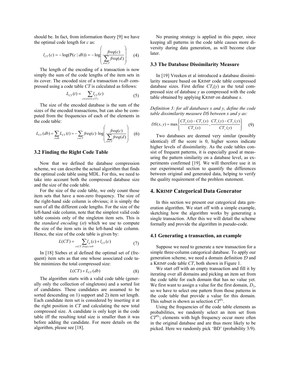should be. In fact, from information theory [9] we have the optimal code length for *c* as:

$$
l_{cr}(c) = -\log(P(c \mid db)) = -\log\left(\frac{freq(c)}{\sum\limits_{d \in cr} freq(d)}\right) \quad (4)
$$

The length of the encoding of a transaction is now simply the sum of the code lengths of the item sets in its cover. The encoded size of a transaction *t*∈*db* compressed using a code table *CT* is calculated as follows:

$$
L_{CT}(t) = \sum_{c \in cover(t, CT)} l_{CT}(c)
$$
 (5)

The size of the encoded database is the sum of the sizes of the encoded transactions, but can also be computed from the frequencies of each of the elements in the code table:

$$
L_{CT}(db) = \sum_{t \in db} L_{CT}(t) = -\sum_{c \in CT} freq(c) \cdot \log \left( \frac freq(c)}{\sum_{d \in CT} freq(d)} \right) \quad (6)
$$

# **3.2 Finding the Right Code Table**

Now that we defined the database compression scheme, we can describe the actual algorithm that finds the optimal code table using MDL. For this, we need to take into account both the compressed database size and the size of the code table.

For the size of the code table, we only count those item sets that have a non-zero frequency. The size of the right-hand side column is obvious; it is simply the sum of all the different code lengths. For the size of the left-hand side column, note that the simplest valid code table consists only of the singleton item sets. This is the *standard encoding* (*st*) which we use to compute the size of the item sets in the left-hand side column. Hence, the size of the code table is given by:

$$
L(CT) = \sum_{c \in CT: freq(c) \neq 0} l_{st}(c) + l_{CT}(c)
$$
 (7)

In [18] Siebes et al defined the optimal set of (frequent) item sets as that one whose associated code table minimizes the total compressed size:

$$
L(CT) + L_{CT}(db) \tag{8}
$$

The algorithm starts with a valid code table (generally only the collection of singletons) and a sorted list of candidates. These candidates are assumed to be sorted descending on 1) support and 2) item set length. Each candidate item set is considered by inserting it at the right position in *CT* and calculating the new total compressed size. A candidate is only kept in the code table iff the resulting total size is smaller than it was before adding the candidate. For more details on the algorithm, please see [18].

No pruning strategy is applied in this paper, since keeping all patterns in the code table causes more diversity during data generation, as will become clear later.

#### **3.3 The Database Dissimilarity Measure**

In [19] Vreeken et al introduced a database dissimilarity measure based on KRIMP code table compressed database sizes. First define  $CT<sub>x</sub>(y)$  as the total compressed size of database *y* as compressed with the code table obtained by applying KRIMP on database *x*.

*Definition 3: for all databases x and y, define the code table dissimilarity measure DS between x and y as:* 

$$
DS(x, y) = \max \left\{ \frac{CT_y(x) - CT_x(x)}{CT_x(x)}, \frac{CT_x(y) - CT_y(y)}{CT_y(y)} \right\}
$$
(9)

Two databases are deemed very similar (possibly identical) iff the score is 0, higher scores indicate higher levels of dissimilarity. As the code tables consist of frequent patterns, it is especially good at measuring the pattern similarity on a database level, as experiments confirmed [19]. We will therefore use it in our experimental section to quantify the differences between original and generated data, helping to verify the quality requirement of the problem statement.

## **4. KRIMP Categorical Data Generator**

In this section we present our categorical data generation algorithm. We start off with a simple example, sketching how the algorithm works by generating a single transaction. After this we will detail the scheme formally and provide the algorithm in pseudo-code.

#### **4.1 Generating a transaction, an example**

Suppose we need to generate a new transaction for a simple three-column categorical database. To apply our generation scheme, we need a domain definition  $D$  and a KRIMP code table *CT*, both shown in Figure 1.

We start off with an empty transaction and fill it by iterating over all domains and picking an item set from the code table for each domain that has no value yet. We first want to assign a value for the first domain,  $D_1$ , so we have to select one pattern from those patterns in the code table that provide a value for this domain. This subset is shown as selection *CT<sup>D</sup>*<sup>1</sup> .

Using the frequencies of the code table elements as probabilities, we randomly select an item set from  $CT^{D_1}$ ; elements with high frequency occur more often in the original database and are thus more likely to be picked. Here we randomly pick 'BD' (probability 3/9).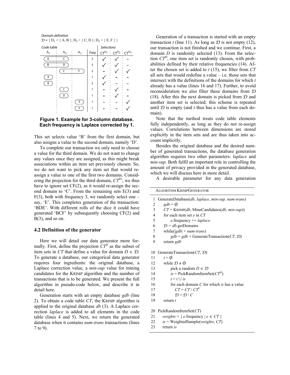

# **Figure 1. Example for 3-column database. Each frequency is Laplace corrected by 1.**

This set selects value 'B' from the first domain, but also assigns a value to the second domain, namely 'D'.

To complete our transaction we only need to choose a value for the third domain. We do not want to change any values once they are assigned, as this might break associations within an item set previously chosen. So, we do not want to pick any item set that would reassign a value to one of the first two domains. Considering the projection for the third domain,  $CT^{D_3}$ , we thus have to ignore set  $CF(2)$ , as it would re-assign the second domain to 'C'. From the remaining sets E(3) and  $F(3)$ , both with frequency 3, we randomly select one – say, 'E'. This completes generation of the transaction: 'BDE'. With different rolls of the dice it could have generated 'BCF' by subsequently choosing CF(2) and  $B(3)$ , and so on.

## **4.2 Definition of the generator**

Here we will detail our data generator more formally. First, define the projection  $CT^D$  as the subset of item sets in *CT* that define a value for domain  $D \in \mathcal{D}$ . To generate a database, our categorical data generator requires four ingredients: the original database, a Laplace correction value, a *min-sup* value for mining candidates for the KRIMP algorithm and the number of transactions that is to be generated. We present the full algorithm in pseudo-code below, and describe it in detail here.

Generation starts with an empty database *gdb* (line 2). To obtain a code table *CT*, the KRIMP algorithm is applied to the original database *db* (3). A Laplace correction *laplace* is added to all elements in the code table (lines 4 and 5). Next, we return the generated database when it contains *num-trans* transactions (lines 7 to 9).

Generation of a transaction is started with an empty transaction *t* (line 11). As long as  $D$  is not empty (12), our transaction is not finished and we continue. First, a domain *D* is randomly selected (13). From the selection  $CT^D$ , one item set is randomly chosen, with probabilities defined by their relative frequencies (14). After the chosen set is added to *t* (15), we filter from *CT* all sets that would redefine a value – i.e. those sets that intersect with the definitions of the domains for which *t* already has a value (lines 16 and 17). Further, to avoid reconsideration we also filter these domains from D (18). After this the next domain is picked from  $D$  and another item set is selected; this scheme is repeated until  $D$  is empty (and  $t$  thus has a value from each domain).

Note that the method treats code table elements fully independently, as long as they do not re-assign values. Correlations between dimensions are stored explicitly in the item sets and are thus taken into account implicitly.

Besides the original database and the desired number of generated transactions, the database generation algorithm requires two other parameters: *laplace* and *min-sup*. Both fulfil an important role in controlling the amount of privacy provided in the generated database, which we will discuss here in more detail.

A desirable parameter for any data generation

| <b>ALGORITHM KRIMPGENERATOR</b> |                                                                         |  |  |  |
|---------------------------------|-------------------------------------------------------------------------|--|--|--|
| 1                               | GenerateDatabase(db, laplace, min-sup, num-trans)                       |  |  |  |
| 2                               | $gdb = \phi$                                                            |  |  |  |
| 3                               | $CT =$ KRIMP( <i>db</i> , MineCandidates( <i>db</i> , <i>min-sup</i> )) |  |  |  |
| 4                               | for each item set $e$ in $CT$                                           |  |  |  |
| 5                               | $e$ frequency $+=$ laplace                                              |  |  |  |
| 6                               | $\mathcal{D} = db$ getDomains                                           |  |  |  |
| 7                               | while( $ gdb  \leq num\text{-}trans$ )                                  |  |  |  |
| 8                               | $gdb = gdb + \text{GenerateTransaction}(CT, \mathcal{D})$               |  |  |  |
| 9                               | return gdb                                                              |  |  |  |
|                                 |                                                                         |  |  |  |
| 10                              | GenerateTransaction( $CT$ , $D$ )                                       |  |  |  |
| 11                              | $t = \emptyset$                                                         |  |  |  |
| 12                              | while $\mathcal{D} \neq \emptyset$                                      |  |  |  |
| 13                              | pick a random $D \in \mathcal{D}$                                       |  |  |  |
| 14                              | $is = PickRandomItemSet(CT^D)$                                          |  |  |  |
| 15                              | $t = t \cup is$                                                         |  |  |  |
| 16                              | for each domain $C$ for which is has a value                            |  |  |  |
| 17                              | $CT = CT \setminus CT^C$                                                |  |  |  |
| 18                              | $\mathcal{D} = \mathcal{D} \setminus C$                                 |  |  |  |
| 19                              | return $t$                                                              |  |  |  |
|                                 |                                                                         |  |  |  |
|                                 | 20 PickRandomItemSet(CT)                                                |  |  |  |

21 *weights* = {  $e$ .frequency  $|e \in CT$  }

- 22 *is* = WeightedSample(*weights*, *CT*)
- 23 return *is*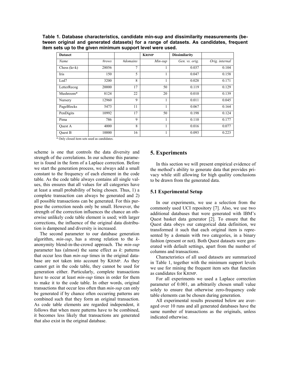**Table 1. Database characteristics, candidate min-sup and dissimilarity measurements (between original and generated datasets) for a range of datasets. As candidates, frequent item sets up to the given minimum support level were used.** 

| <b>Dataset</b> |          |          | <b>KRIMP</b> | <b>Dissimilarity</b> |                |
|----------------|----------|----------|--------------|----------------------|----------------|
| Name           | $\#rows$ | #domains | $Min$ -sup   | Gen. vs. orig.       | Orig. internal |
| Chess $(kr-k)$ | 28056    | 7        | 1            | 0.037                | 0.104          |
| Iris           | 150      | 5        | 1            | 0.047                | 0.158          |
| Led7           | 3200     | 8        |              | 0.028                | 0.171          |
| LetterRecog    | 20000    | 17       | 50           | 0.119                | 0.129          |
| Mushroom*      | 8124     | 22       | 20           | 0.010                | 0.139          |
| Nursery        | 12960    | 9        | 1            | 0.011                | 0.045          |
| PageBlocks     | 5473     | 11       | -1           | 0.067                | 0.164          |
| PenDigits      | 10992    | 17       | 50           | 0.198                | 0.124          |
| Pima           | 786      | 9        | 1            | 0.110                | 0.177          |
| Ouest A        | 4000     | 8        |              | 0.016                | 0.077          |
| <b>Ouest B</b> | 10000    | 16       | 1            | 0.093                | 0.223          |

\* Only closed item sets used as candidates.

scheme is one that controls the data diversity and strength of the correlations. In our scheme this parameter is found in the form of a Laplace correction. Before we start the generation process, we always add a small constant to the frequency of each element in the code table. As the code table always contains all single values, this ensures that all values for all categories have at least a small probability of being chosen. Thus, 1) a complete transaction can always be generated and 2) all possible transactions can be generated. For this purpose the correction needs only be small. However, the strength of the correction influences the chance an otherwise unlikely code table element is used; with larger corrections, the influence of the original data distribution is dampened and diversity is increased.

The second parameter to our database generation algorithm, *min-sup*, has a strong relation to the *k*anonymity blend-in-the-crowd approach. The *min-sup* parameter has (almost) the same effect as *k*: patterns that occur less than *min-sup* times in the original database are not taken into account by KRIMP. As they cannot get in the code table, they cannot be used for generation either. Particularly, complete transactions have to occur at least *min-sup* times in order for them to make it to the code table. In other words, original transactions that occur less often than *min-sup* can only be generated if by chance often occurring patterns are combined such that they form an original transaction. As code table elements are regarded independent, it follows that when more patterns have to be combined, it becomes less likely that transactions are generated that also exist in the original database.

## **5. Experiments**

In this section we will present empirical evidence of the method's ability to generate data that provides privacy while still allowing for high quality conclusions to be drawn from the generated data.

#### **5.1 Experimental Setup**

In our experiments, we use a selection from the commonly used UCI repository [7]. Also, we use two additional databases that were generated with IBM's Quest basket data generator [2]. To ensure that the Quest data obeys our categorical data definition, we transformed it such that each original item is represented by a domain with two categories, in a binary fashion (present or not). Both Quest datasets were generated with default settings, apart from the number of columns and transactions.

Characteristics of all used datasets are summarized in Table 1, together with the minimum support levels we use for mining the frequent item sets that function as candidates for KRIMP.

For all experiments we used a Laplace correction parameter of 0.001, an arbitrarily chosen small value solely to ensure that otherwise zero-frequency code table elements can be chosen during generation.

All experimental results presented below are averaged over 10 runs and all generated databases have the same number of transactions as the originals, unless indicated otherwise.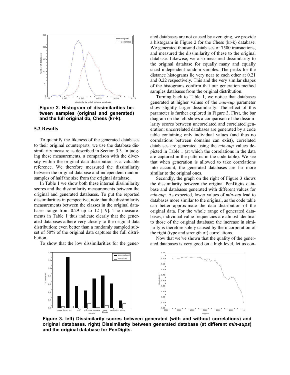

**Figure 2. Histogram of dissimilarities between samples (original and generated) and the full original db, Chess (kr-k).** 

#### **5.2 Results**

Dissimilarity

1.4 1.2 1.0 0.8 0.6 0.4 0.2 0.0

To quantify the likeness of the generated databases to their original counterparts, we use the database dissimilarity measure as described in Section 3.3. In judging these measurements, a comparison with the diversity within the original data distribution is a valuable reference. We therefore measured the dissimilarity between the original database and independent random samples of half the size from the original database.

In Table 1 we show both these internal dissimilarity scores and the dissimilarity measurements between the original and generated databases. To put the reported dissimilarities in perspective, note that the dissimilarity measurements between the classes in the original databases range from 0.29 up to 12 [19]. The measurements in Table 1 thus indicate clearly that the generated databases adhere very closely to the original data distribution; even better than a randomly sampled subset of 50% of the original data captures the full distribution.

To show that the low dissimilarities for the gener-

ated databases are not caused by averaging, we provide a histogram in Figure 2 for the Chess (kr-k) database. We generated thousand databases of 7500 transactions, and measured the dissimilarity of these to the original database. Likewise, we also measured dissimilarity to the original database for equally many and equally sized independent random samples. The peaks for the distance histograms lie very near to each other at 0.21 and 0.22 respectively. This and the very similar shapes of the histograms confirm that our generation method samples databases from the original distribution.

Turning back to Table 1, we notice that databases generated at higher values of the *min-sup* parameter show slightly larger dissimilarity. The effect of this parameter is further explored in Figure 3. First, the bar diagram on the left shows a comparison of the dissimilarity scores between uncorrelated and correlated generation: uncorrelated databases are generated by a code table containing only individual values (and thus no correlations between domains can exist), correlated databases are generated using the *min-sup* values depicted in Table 1 (at which the correlations in the data are captured in the patterns in the code table). We see that when generation is allowed to take correlations into account, the generated databases are far more similar to the original ones.

Secondly, the graph on the right of Figure 3 shows the dissimilarity between the original PenDigits database and databases generated with different values for *min-sup*. As expected, lower values of *min-sup* lead to databases more similar to the original, as the code table can better approximate the data distribution of the original data. For the whole range of generated databases, individual value frequencies are almost identical to those of the original database; the increase in similarity is therefore solely caused by the incorporation of the right (type and strength of) correlations.

Now that we've shown that the quality of the generated databases is very good on a high level, let us con-



**Figure 3. left) Dissimilarity scores between generated (with and without correlations) and original databases. right) Dissimilarity between generated database (at different** *min-sups***) and the original database for PenDigits.**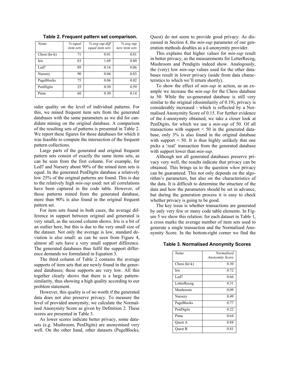| Name           | % equal<br>item sets | % avg sup diff<br>equal item sets | % avg sup<br>new item sets |
|----------------|----------------------|-----------------------------------|----------------------------|
| $Chess (kr-k)$ | 71                   | 0.01                              | 0.01                       |
| Iris           | 83                   | 1.69                              | 0.80                       |
| Led7           | 89                   | 0.14                              | 0.06                       |
| Nursery        | 90                   | 0.04                              | 0.03                       |
| PageBlocks     | 75                   | 0.06                              | 0.02                       |
| PenDigits      | 25                   | 0.50                              | 0.59                       |
| Pima           | 60                   | 0.30                              | 0.14                       |

**Table 2. Frequent pattern set comparison.** 

sider quality on the level of individual patterns. For this, we mined frequent item sets from the generated databases with the same parameters as we did for candidate mining on the original database. A comparison of the resulting sets of patterns is presented in Table 2. We report these figures for those databases for which it was feasible to compute the intersection of the frequent pattern collections.

Large parts of the generated and original frequent pattern sets consist of exactly the same items sets, as can be seen from the first column. For example, for Led7 and Nursery about 90% of the mined item sets is equal. In the generated PenDigits database a relatively low 25% of the original patterns are found. This is due to the relatively high *min-sup* used: not all correlations have been captured in the code table. However, of those patterns mined from the generated database, more than 90% is also found in the original frequent pattern set.

For item sets found in both cases, the average difference in support between original and generated is very small, as the second column shows. Iris is a bit of an outlier here, but this is due to the very small size of the dataset. Not only the average is low, standard deviation is also small: as can be seen from Figure 4, almost all sets have a very small support difference. The generated databases thus fulfil the support difference demands we formulated in Equation 3.

The third column of Table 2 contains the average supports of item sets that are newly found in the generated databases; these supports are very low. All this together clearly shows that there is a large patternsimilarity, thus showing a high quality according to our problem statement.

However, this quality is of no worth if the generated data does not also preserve privacy. To measure the level of provided anonymity, we calculate the Normalised Anonymity Score as given by Definition 2. These scores are presented in Table 3.

As lower scores indicate better privacy, some datasets (e.g. Mushroom, PenDigits) are anonymised very well. On the other hand, other datasets (PageBlocks, Quest) do not seem to provide good privacy. As discussed in Section 4, the *min-sup* parameter of our generation methods doubles as a *k*-anonymity provider.

This explains that higher values for *min-sup* result in better privacy, as the measurements for LetterRecog, Mushroom and Pendigits indeed show. Analogously, the (very) low *min-sup* values used for the other databases result in lower privacy (aside from data characteristics to which we'll return shortly).

To show the effect of *min-sup* in action, as an example we increase the *min-sup* for the Chess database to 50. While the so-generated database is still very similar to the original (dissimilarity of 0.19), privacy is considerably increased - which is reflected by a Normalised Anonymity Score of 0.15. For further evidence of the *k*-anonymity obtained, we take a closer look at PenDigits, for which we use a *min-sup* of 50. Of all transactions with support  $\leq 50$  in the generated database, only 3% is also found in the original database with support < 50. It is thus highly unlikely that one picks a 'real' transaction from the generated database with support lower than *min-sup*.

Although not all generated databases preserve privacy very well, the results indicate that privacy can be obtained. This brings us to the question *when* privacy can be guaranteed. This not only depends on the algorithm's parameters, but also on the characteristics of the data. It is difficult to determine the structure of the data and how the parameters should be set in advance, but during the generation process it is easy to check whether privacy is going to be good.

The key issue is whether transactions are generated by only very few or many code table elements. In Figure 5 we show this relation: for each dataset in Table 1, a cross marks the average number of item sets used to generate a single transaction and the Normalised Anonymity Score. In the bottom-right corner we find the

#### **Table 3. Normalised Anonymity Scores**

| Name         | <b>Normalised</b><br><b>Anonymity Score</b> |
|--------------|---------------------------------------------|
| Chess (kr-k) | 0.30                                        |
| <b>Iris</b>  | 0.72                                        |
| Led7         | 0.66                                        |
| LetterRecog  | 0.31                                        |
| Mushroom     | 0.09                                        |
| Nursery      | 0.49                                        |
| PageBlocks   | 0.77                                        |
| PenDigits    | 0.22                                        |
| Pima         | 0.64                                        |
| Ouest A      | 0.84                                        |
| Ouest B      | 0.81                                        |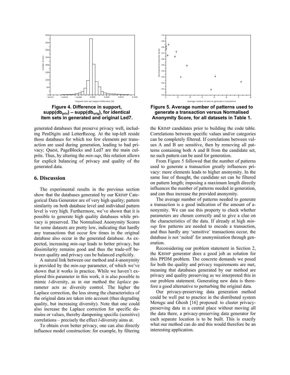

**item sets in generated and original Led7.** 

generated databases that preserve privacy well, including PenDigits and LetterRecog. At the top-left reside those databases for which too few elements per transaction are used during generation, leading to bad privacy; Quest, PageBlocks and Led7 are the main culprits. Thus, by altering the *min-sup*, this relation allows for explicit balancing of privacy and quality of the generated data.

# **6. Discussion**

The experimental results in the previous section show that the databases generated by our KRIMP Categorical Data Generator are of very high quality; pattern similarity on both database level and individual pattern level is very high. Furthermore, we've shown that it is possible to generate high quality databases while privacy is preserved. The Normalised Anonymity Scores for some datasets are pretty low, indicating that hardly any transactions that occur few times in the original database also occur in the generated database. As expected, increasing *min-sup* leads to better privacy, but dissimilarity remains good and thus the trade-off between quality and privacy can be balanced explicitly.

A natural link between our method and *k*-anonymity is provided by the *min-sup* parameter, of which we've shown that it works in practice. While we haven't explored this parameter in this work, it is also possible to mimic *l*-diversity, as in our method the *laplace* parameter acts as diversity control. The higher the Laplace correction, the less strong the characteristics of the original data are taken into account (thus degrading quality, but increasing diversity). Note that one could also increase the Laplace correction for specific domains or values, thereby dampening specific (sensitive) correlations – precisely the effect *l*-diversity aims at.

To obtain even better privacy, one can also directly influence model construction: for example, by filtering



**Figure 5. Average number of patterns used to generate a transaction versus Normalised Anonymity Score, for all datasets in Table 1.** 

the KRIMP candidates prior to building the code table. Correlations between specific values and/or categories can be completely filtered. If correlations between values A and B are sensitive, then by removing all patterns containing both A and B from the candidate set, no such pattern can be used for generation.

From Figure 5 followed that the number of patterns used to generate a transaction greatly influences privacy: more elements leads to higher anonymity. In the same line of thought, the candidate set can be filtered on pattern length; imposing a maximum length directly influences the number of patterns needed in generation, and can thus increase the provided anonymity.

The average number of patterns needed to generate a transaction is a good indication of the amount of anonymity. We can use this property to check whether parameters are chosen correctly and to give a clue on the characteristics of the data. If already at high *minsup* few patterns are needed to encode a transaction, and thus hardly any 'sensitive' transactions occur, the database is not 'suited' for anonymisation through generation.

Reconsidering our problem statement in Section 2, the KRIMP generator does a good job as solution for this PPDM problem. The concrete demands we posed for both the quality and privacy requirements are met, meaning that databases generated by our method are privacy and quality preserving as we interpreted this in our problem statement. Generating new data is therefore a good alternative to perturbing the original data.

Our privacy-preserving data generation method could be well put to practice in the distributed system Merugu and Ghosh [16] proposed: to cluster privacypreserving data in a central place without moving all the data there, a privacy-preserving data generator for each separate location is to be built. This is exactly what our method can do and this would therefore be an interesting application.